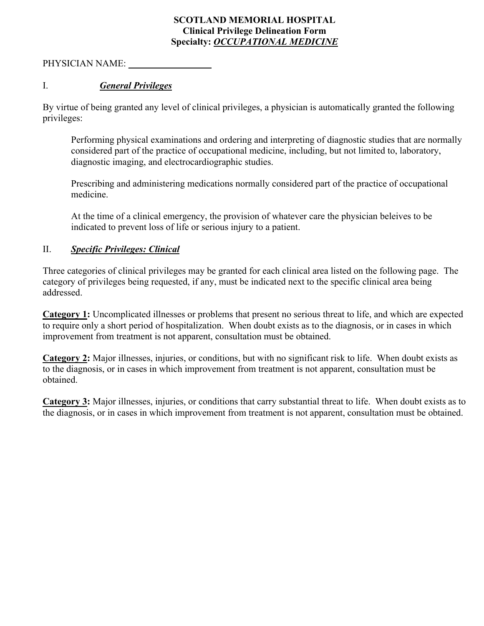# **SCOTLAND MEMORIAL HOSPITAL Clinical Privilege Delineation Form Specialty:** *OCCUPATIONAL MEDICINE*

PHYSICIAN NAME:

# I. *General Privileges*

By virtue of being granted any level of clinical privileges, a physician is automatically granted the following privileges:

Performing physical examinations and ordering and interpreting of diagnostic studies that are normally considered part of the practice of occupational medicine, including, but not limited to, laboratory, diagnostic imaging, and electrocardiographic studies.

Prescribing and administering medications normally considered part of the practice of occupational medicine.

At the time of a clinical emergency, the provision of whatever care the physician beleives to be indicated to prevent loss of life or serious injury to a patient.

# II. *Specific Privileges: Clinical*

Three categories of clinical privileges may be granted for each clinical area listed on the following page. The category of privileges being requested, if any, must be indicated next to the specific clinical area being addressed.

**Category 1:** Uncomplicated illnesses or problems that present no serious threat to life, and which are expected to require only a short period of hospitalization. When doubt exists as to the diagnosis, or in cases in which improvement from treatment is not apparent, consultation must be obtained.

**Category 2:** Major illnesses, injuries, or conditions, but with no significant risk to life. When doubt exists as to the diagnosis, or in cases in which improvement from treatment is not apparent, consultation must be obtained.

**Category 3:** Major illnesses, injuries, or conditions that carry substantial threat to life. When doubt exists as to the diagnosis, or in cases in which improvement from treatment is not apparent, consultation must be obtained.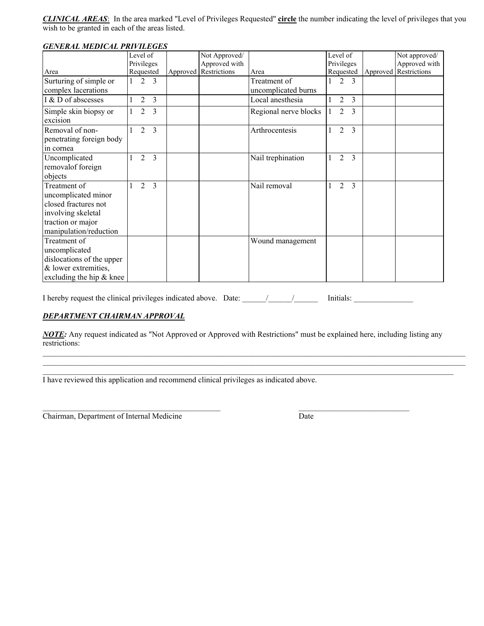*CLINICAL AREAS*: In the area marked "Level of Privileges Requested" **circle** the number indicating the level of privileges that you wish to be granted in each of the areas listed.

| <i>GENERAL MEDICAL PRIVILEGES</i> |            |                |                |                       |                       |           |                          |               |                       |
|-----------------------------------|------------|----------------|----------------|-----------------------|-----------------------|-----------|--------------------------|---------------|-----------------------|
|                                   | Level of   |                |                | Not Approved/         |                       | Level of  |                          |               | Not approved/         |
|                                   | Privileges |                |                | Approved with         |                       |           | Privileges               |               | Approved with         |
| Area                              |            | Requested      |                | Approved Restrictions | Area                  | Requested |                          |               | Approved Restrictions |
| Surturing of simple or            |            | $\mathfrak{D}$ | $\mathcal{R}$  |                       | Treatment of          |           | $\overline{\mathcal{L}}$ | 3             |                       |
| complex lacerations               |            |                |                |                       | uncomplicated burns   |           |                          |               |                       |
| I & D of abscesses                |            | $\overline{2}$ | 3              |                       | Local anesthesia      |           | $\overline{2}$           | 3             |                       |
| Simple skin biopsy or             |            | 2              | 3              |                       | Regional nerve blocks |           | 2                        | $\mathcal{E}$ |                       |
| excision                          |            |                |                |                       |                       |           |                          |               |                       |
| Removal of non-                   |            | $\overline{2}$ | $\overline{3}$ |                       | Arthrocentesis        |           | 2                        | 3             |                       |
| penetrating foreign body          |            |                |                |                       |                       |           |                          |               |                       |
| in cornea                         |            |                |                |                       |                       |           |                          |               |                       |
| Uncomplicated                     |            | $\mathfrak{D}$ | $\overline{3}$ |                       | Nail trephination     |           | $\overline{2}$           | 3             |                       |
| removalof foreign                 |            |                |                |                       |                       |           |                          |               |                       |
| objects                           |            |                |                |                       |                       |           |                          |               |                       |
| Treatment of                      |            | 2              | $\overline{3}$ |                       | Nail removal          |           | 2                        | 3             |                       |
| uncomplicated minor               |            |                |                |                       |                       |           |                          |               |                       |
| closed fractures not              |            |                |                |                       |                       |           |                          |               |                       |
| involving skeletal                |            |                |                |                       |                       |           |                          |               |                       |
| traction or major                 |            |                |                |                       |                       |           |                          |               |                       |
| manipulation/reduction            |            |                |                |                       |                       |           |                          |               |                       |
| Treatment of                      |            |                |                |                       | Wound management      |           |                          |               |                       |
| uncomplicated                     |            |                |                |                       |                       |           |                          |               |                       |
| dislocations of the upper         |            |                |                |                       |                       |           |                          |               |                       |
| & lower extremities,              |            |                |                |                       |                       |           |                          |               |                       |
| excluding the hip $&$ knee        |            |                |                |                       |                       |           |                          |               |                       |

## *GENERAL MEDICAL PRIVILEGES*

I hereby request the clinical privileges indicated above. Date: \_\_\_\_\_\_/\_\_\_\_\_\_/\_\_\_\_\_\_ Initials: \_\_\_\_\_\_\_\_\_\_\_\_\_\_\_

 $\overline{\phantom{a}}$  , and the contribution of the contribution of the contribution of  $\overline{\phantom{a}}$  , and  $\overline{\phantom{a}}$  , and  $\overline{\phantom{a}}$ 

#### *DEPARTMENT CHAIRMAN APPROVAL*

*NOTE:* Any request indicated as "Not Approved or Approved with Restrictions" must be explained here, including listing any restrictions:

\_\_\_\_\_\_\_\_\_\_\_\_\_\_\_\_\_\_\_\_\_\_\_\_\_\_\_\_\_\_\_\_\_\_\_\_\_\_\_\_\_\_\_\_\_\_\_\_\_\_\_\_\_\_\_\_\_\_\_\_\_\_\_\_\_\_\_\_\_\_\_\_\_\_\_\_\_\_\_\_\_\_\_\_\_\_\_\_\_\_\_\_\_\_\_\_\_\_\_\_\_\_\_\_\_\_\_ \_\_\_\_\_\_\_\_\_\_\_\_\_\_\_\_\_\_\_\_\_\_\_\_\_\_\_\_\_\_\_\_\_\_\_\_\_\_\_\_\_\_\_\_\_\_\_\_\_\_\_\_\_\_\_\_\_\_\_\_\_\_\_\_\_\_\_\_\_\_\_\_\_\_\_\_\_\_\_\_\_\_\_\_\_\_\_\_\_\_\_\_\_\_\_\_\_\_\_\_\_\_\_\_\_\_\_ \_\_\_\_\_\_\_\_\_\_\_\_\_\_\_\_\_\_\_\_\_\_\_\_\_\_\_\_\_\_\_\_\_\_\_\_\_\_\_\_\_\_\_\_\_\_\_\_\_\_\_\_\_\_\_\_\_\_\_\_\_\_\_\_\_\_\_\_\_\_\_\_\_\_\_\_\_\_\_\_\_\_\_\_\_\_\_\_\_\_\_\_\_\_\_\_\_\_\_\_\_\_\_\_

I have reviewed this application and recommend clinical privileges as indicated above.

Chairman, Department of Internal Medicine Date